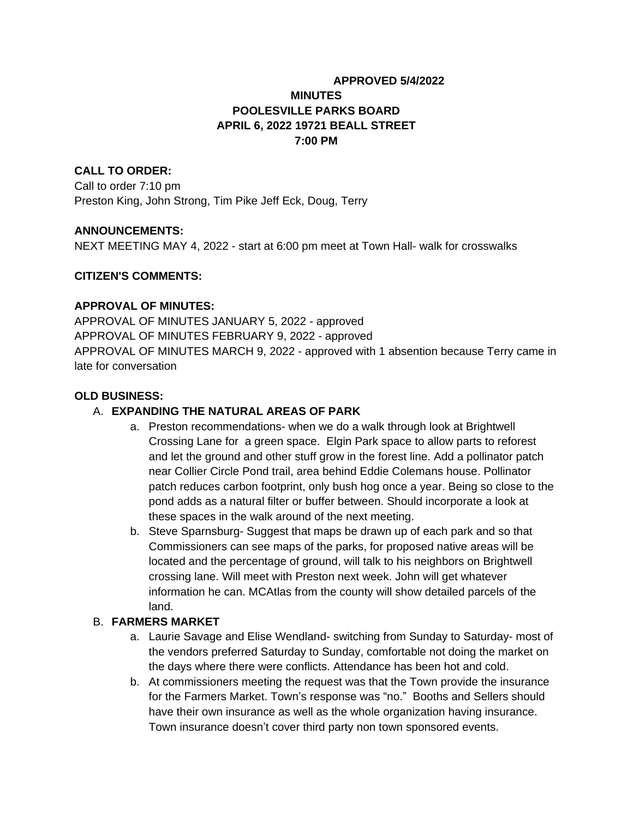## **APPROVED 5/4/2022 MINUTES POOLESVILLE PARKS BOARD APRIL 6, 2022 19721 BEALL STREET 7:00 PM**

### **CALL TO ORDER:**

Call to order 7:10 pm Preston King, John Strong, Tim Pike Jeff Eck, Doug, Terry

### **ANNOUNCEMENTS:**

NEXT MEETING MAY 4, 2022 - start at 6:00 pm meet at Town Hall- walk for crosswalks

### **CITIZEN'S COMMENTS:**

#### **APPROVAL OF MINUTES:**

APPROVAL OF MINUTES JANUARY 5, 2022 - approved APPROVAL OF MINUTES FEBRUARY 9, 2022 - approved APPROVAL OF MINUTES MARCH 9, 2022 - approved with 1 absention because Terry came in late for conversation

#### **OLD BUSINESS:**

### A. **EXPANDING THE NATURAL AREAS OF PARK**

- a. Preston recommendations- when we do a walk through look at Brightwell Crossing Lane for a green space. Elgin Park space to allow parts to reforest and let the ground and other stuff grow in the forest line. Add a pollinator patch near Collier Circle Pond trail, area behind Eddie Colemans house. Pollinator patch reduces carbon footprint, only bush hog once a year. Being so close to the pond adds as a natural filter or buffer between. Should incorporate a look at these spaces in the walk around of the next meeting.
- b. Steve Sparnsburg- Suggest that maps be drawn up of each park and so that Commissioners can see maps of the parks, for proposed native areas will be located and the percentage of ground, will talk to his neighbors on Brightwell crossing lane. Will meet with Preston next week. John will get whatever information he can. MCAtlas from the county will show detailed parcels of the land.

### B. **FARMERS MARKET**

- a. Laurie Savage and Elise Wendland- switching from Sunday to Saturday- most of the vendors preferred Saturday to Sunday, comfortable not doing the market on the days where there were conflicts. Attendance has been hot and cold.
- b. At commissioners meeting the request was that the Town provide the insurance for the Farmers Market. Town's response was "no." Booths and Sellers should have their own insurance as well as the whole organization having insurance. Town insurance doesn't cover third party non town sponsored events.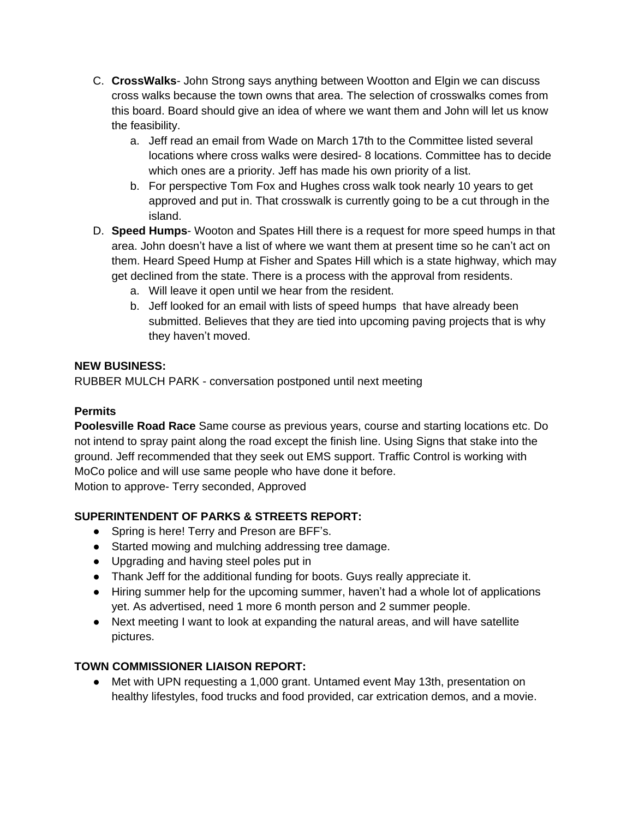- C. **CrossWalks** John Strong says anything between Wootton and Elgin we can discuss cross walks because the town owns that area. The selection of crosswalks comes from this board. Board should give an idea of where we want them and John will let us know the feasibility.
	- a. Jeff read an email from Wade on March 17th to the Committee listed several locations where cross walks were desired- 8 locations. Committee has to decide which ones are a priority. Jeff has made his own priority of a list.
	- b. For perspective Tom Fox and Hughes cross walk took nearly 10 years to get approved and put in. That crosswalk is currently going to be a cut through in the island.
- D. **Speed Humps** Wooton and Spates Hill there is a request for more speed humps in that area. John doesn't have a list of where we want them at present time so he can't act on them. Heard Speed Hump at Fisher and Spates Hill which is a state highway, which may get declined from the state. There is a process with the approval from residents.
	- a. Will leave it open until we hear from the resident.
	- b. Jeff looked for an email with lists of speed humps that have already been submitted. Believes that they are tied into upcoming paving projects that is why they haven't moved.

### **NEW BUSINESS:**

RUBBER MULCH PARK - conversation postponed until next meeting

# **Permits**

**Poolesville Road Race** Same course as previous years, course and starting locations etc. Do not intend to spray paint along the road except the finish line. Using Signs that stake into the ground. Jeff recommended that they seek out EMS support. Traffic Control is working with MoCo police and will use same people who have done it before. Motion to approve- Terry seconded, Approved

# **SUPERINTENDENT OF PARKS & STREETS REPORT:**

- Spring is here! Terry and Preson are BFF's.
- Started mowing and mulching addressing tree damage.
- Upgrading and having steel poles put in
- Thank Jeff for the additional funding for boots. Guys really appreciate it.
- Hiring summer help for the upcoming summer, haven't had a whole lot of applications yet. As advertised, need 1 more 6 month person and 2 summer people.
- Next meeting I want to look at expanding the natural areas, and will have satellite pictures.

# **TOWN COMMISSIONER LIAISON REPORT:**

● Met with UPN requesting a 1,000 grant. Untamed event May 13th, presentation on healthy lifestyles, food trucks and food provided, car extrication demos, and a movie.